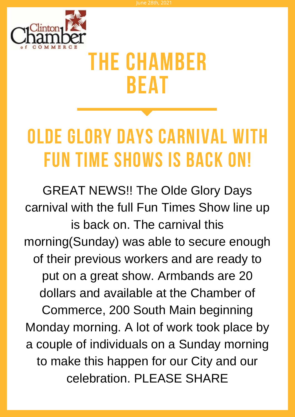

# **The Chamber Beat**

# **OLDE GLORY DAYS CARNIVAL WITH FUN TIME SHOWS IS BACK ON!**

GREAT NEWS!! The Olde Glory Days carnival with the full Fun Times Show line up is back on. The carnival this morning(Sunday) was able to secure enough of their previous workers and are ready to put on a great show. Armbands are 20 dollars and available at the Chamber of Commerce, 200 South Main beginning Monday morning. A lot of work took place by a couple of individuals on a Sunday morning to make this happen for our City and our celebration. PLEASE SHARE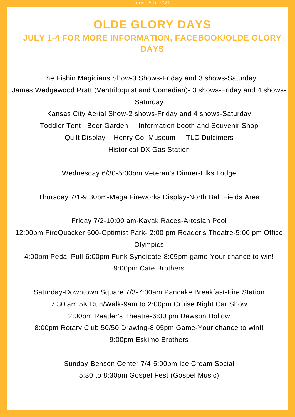# **OLDE GLORY DAYS JULY 1-4 FOR MORE INFORMATION, FACEBOOK/OLDE GLORY DAYS**

The Fishin Magicians Show-3 Shows-Friday and 3 shows-Saturday James Wedgewood Pratt (Ventriloquist and Comedian)- 3 shows-Friday and 4 shows-Saturday

Kansas City Aerial Show-2 shows-Friday and 4 shows-Saturday Toddler Tent Beer Garden Information booth and Souvenir Shop Quilt Display Henry Co. Museum TLC Dulcimers Historical DX Gas Station

Wednesday 6/30-5:00pm Veteran's Dinner-Elks Lodge

Thursday 7/1-9:30pm-Mega Fireworks Display-North Ball Fields Area

Friday 7/2-10:00 am-Kayak Races-Artesian Pool

12:00pm FireQuacker 500-Optimist Park- 2:00 pm Reader's Theatre-5:00 pm Office **Olympics** 

4:00pm Pedal Pull-6:00pm Funk Syndicate-8:05pm game-Your chance to win! 9:00pm Cate Brothers

Saturday-Downtown Square 7/3-7:00am Pancake Breakfast-Fire Station 7:30 am 5K Run/Walk-9am to 2:00pm Cruise Night Car Show 2:00pm Reader's Theatre-6:00 pm Dawson Hollow 8:00pm Rotary Club 50/50 Drawing-8:05pm Game-Your chance to win!! 9:00pm Eskimo Brothers

> Sunday-Benson Center 7/4-5:00pm Ice Cream Social 5:30 to 8:30pm Gospel Fest (Gospel Music)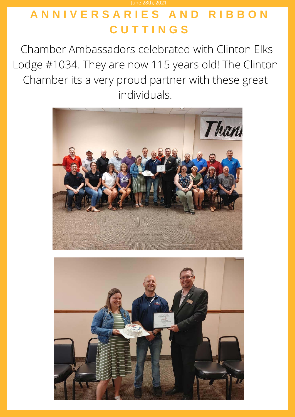# **A N N I V E R S A R I E S A N D R I B B O N C U T T I N G S**

June 28th, 2021

Chamber Ambassadors celebrated with Clinton Elks Lodge #1034. They are now 115 years old! The Clinton Chamber its a very proud partner with these great individuals.



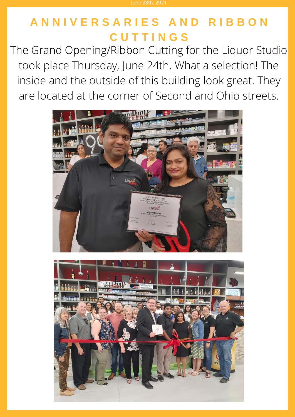# **A N N I V E R S A R I E S A N D R I B B O N C U T T I N G S**

The Grand Opening/Ribbon Cutting for the Liquor Studio took place Thursday, June 24th. What a selection! The inside and the outside of this building look great. They are located at the corner of Second and Ohio streets.



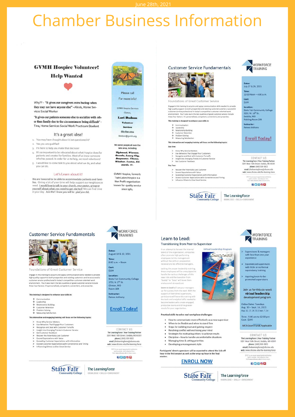# **Chamber Business Information**

## **GVMH Hospice Volunteer!**

### **Help Wanted**

Why?? - "It gives our caregivers extra backup when they may not have anyone else" - Alexis, Home Services Social Worker

"It gives our patients someone else to socialize with other than family due to the circumstances being difficult" -Tina, Home Services Social Work Practicum Student

#### It's a great idea!

- 1. You may have thought about it but questioned it?
- 2. Yes you are qualified!
- 3. I'm here to help you make that decision!
- 4. It's so important to be educated about what Hospice does for patients and creates for families. Most of us know someone who has passed. In order for us to help, we need volunteers!
- 5. I would like to come talk to you about what we do, and what you can do.

#### Let's Learn about it!

We are honored to be able to accommodate patients and families. Giving a bit of your time will help support our neighbors in need. I would love to talk to your church, your pastor, group or<br>yourself about what you need to get started! We can find time<br>in your day. Join Me!! know you will be glad you did.



Please call For more info!

**GVMH Hospice Services** Clinton,

Lori Dodson **Volunteer** Services

660-890-2014 Idodson@gvmh.org

#### We serve people all over the lake area, including

**Tightwad**, Ware nucaa, warsau,<br>sola, Loury City,<br>opucator, Clinton,<br>uduor, Loeton, Eduards, etc.

**GVMH Hospice, formerly** Twin Lakes Hospice is a Non Profit organization<br>known for quality service since 1984

**WORKFORCE** 

TRAINING

August 10 & 12, 2021

**State Fair Community College** 

**Enroll Today!** 

**CONTACT US** 

The Learning Force | Your Training Partner<br>3201 West 16th Street | Sedalia, MO 65301<br>phone | (660) 530-5822

email | thelearningforce@sfccmo.edu<br>web | www.sfccmo.edu/the-learning-force

**02608** 

FCC is an equal opportunity inst<br>and is smoke-and tobacco fr<br>Virit www.sforms.edu.to.lining

Time:<br>8:00 a.m. - Noon

Dates:

Cost:

\$199

Location

1701 N. 2<sup>nd</sup> St.<br>Clinton, MO

Room 104

Instructor:

**Renee Anthony** 

### **Customer Service Fundamentals**



Foundations of Great Customer Service

Engage in this training to acquire and apply communication skills needed to provide<br>high quality support to both prospective and existing customers and be a successful rigin quality assigned to contract proposition and example customers are a sources.<br>Eustionner service professional in today's competitive customer-oriented work<br>environment. You'll also learn the key qualities of good cus

#### This training is designed to enhance your skills in:

- 
- 
- 
- 
- $\begin{tabular}{ll} $\Phi$ & Communication\\ $\Phi$ & Leadership\\ $\Phi$ & Relationship Building\\ $\Phi$ & Customer Retention\\ $\Phi$ & Problem Solving\\ $\Phi$ & Measuring Satisfactor\\ \end{tabular}$

#### This interactive and engaging training will focus on the following topics:

- Know Why Service Matters
- 
- Know Why Sensice Matter<br>Use Behaviors That Engage Your Customers<br>Recognize and Deal with Customer Turnoffs<br>Insight Into Emerging Trends in Customer Service<br>Get Customer Feedback<br>Exceed Expectations with Value<br>Exceed Expect
- 
- 
- 
- 
- 



#### The LearningForce KNOWLEDGE + SKILLS + ENRICHMENT

**Customer Service Fundamentals** 



### Foundations of Great Customer Service

 $\label{lem:main} \begin{small} \textbf{Engage in this training to acquire and apply communication skills needed to provide a specific question, and the a success rate, and the use of the possible of the two different vertices of the two different vertices, and the two different vertices, and the two different vertices of the two different vertices. For all also learn the key candidate of good customer service include the same four factors: It's prenormalized, competent, convenient, and product. \end{small}$ 

#### This training is designed to enhance your skills in:

- 
- $\begin{tabular}{ll} $\Phi$ & Communication\\ $\Phi$ & leadership Building\\ $\Phi$ & Relationship Building\\ $\Phi$ & Customer Retention\\ \end{tabular}$
- 
- $\begin{tabular}{ll} $\boldsymbol{\Phi}$ & Problem Solving \\ $\boldsymbol{\Phi}$ & Measuring Satisfaction \end{tabular}$

This interactive and engaging training will focus on the following topics

#### Day One:

- > Know Why Service Matters
- 
- A strow write version of the state of Customers<br>  $\geq$  Recognize and Deal with Customer Turnoffs<br>  $\geq$  Recognize and Deal with Customer Turnoffs<br>  $\geq$  Insight Into Emerging Trends in Customer Service<br>  $\geq$  Get Customer
- Day Two:

- 
- 
- Recover the Potentially Lost Customer<br>Exceed Expectations with Value<br>Exceeding Customer Expectations with Information<br>Exceed Customer Expectations with Convenience<br>Influence Others to Give Great Service venience and Timing
- 

**State Fair** 

### **WORKFORCE** TRAINING

# Dates:<br>July 27 & 29, 2021

 $12:00\text{ Noon} - 4:00\text{ n.m.}$ 

Cost

- \$199
- Location:<br>State Fair Community College<br>3201 W. 16<sup>th</sup> St.
- 
- Sedalia, MO<br>Fielding Room 209
- Instructor:<br>Renee Anthony

### **Enroll Today!**

# CONTACT US

CONTACT US<br>The Learning Partner<br>3201 West T6th Street [ Sedalia, MO 6530<br>phone [ (660) 530-5822<br>email | thelearning/orce@sfccmo.edu<br>web [ www.sfccmo.edu/the-learning-force<br>web [ www.sfccmo.edu/the-learning-force

WORKFORCE

TRAINING

Supervisors & managers<br>with less than one year

**Experienced supervisors**<br>with little or no formal<br>supervisory training

Aspiring/soon-to-be-<br>promoted supervisors

Join us for this six-week virtual leadership

development progra

experience

17602

The Learning Force

*Success* 

## Learn to Lead:

#### **Transitioning from Peer to Supervisor** Virtual Leadership Program

In an attempt to harvest the internal talent of the organization, companies<br>often promote high-performing employees to into management without the skills or preparation necessary to be effective managers

Lacking the proper leadership training,<br>these employees will be unequipped to<br>handle the various challenges of this new role and the transition from 'buddy" to "boss" will leave them anxious and stressed out

Learn to Lead will set your managers<br>up for success from the start. With the<br>support of their direct supervisors,<br>participants will leave this training with the tools and analytical skills needed to become leaders who create engaged. productive teams and drive greate

results for your organ

#### Practical skills to solve real workplace challenges

- . How to communicate more effectively as a new supervisor
- When to be flexible and when to stand firm
- Steps for building trust and gaining respect
- Resolving conflict without losing your mind
- Strategies for motivating others to achieve results
- Discipline how to handle uncomfortable situations
- Managing time & setting priorities
- Developing a management style

Participants' direct supervisors will be expected to attend the kick-off<br>hour in the first session as well as the wrap-up hour in the final session.

### **ENROLL NOW**

**State Fair** 



MOS Grant Funds Applicable CONTACT US

The Learning Force | Your Training Partner<br>3201 West 16th Street | Sedalia, MO 65301

phone | (660) 530-5822 email | thelearningforce@sfccmo.edu<br>veb | www.sfccmo.edu/the-learning-force

SFCC is an equal opportunity instituted is smoke- and tobaccu-free<br>Vicit www.sfermu.edu.to.learn.nu

The LearningForce

82608